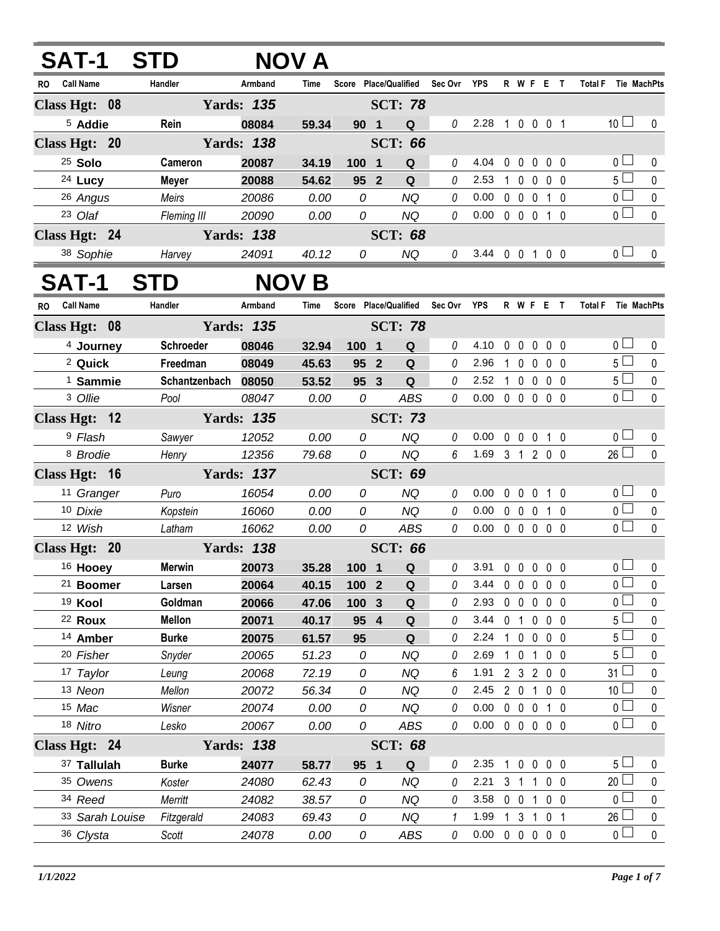| SAT-1                         | <b>STD</b>          |                   | NOV A          |                       |                         |                        |          |                |              |                          |                |                |                               |              |
|-------------------------------|---------------------|-------------------|----------------|-----------------------|-------------------------|------------------------|----------|----------------|--------------|--------------------------|----------------|----------------|-------------------------------|--------------|
| <b>Call Name</b><br>RO.       | Handler             | Armband           | Time           | Score Place/Qualified |                         |                        | Sec Ovr  | YPS            |              | R W F E T                |                |                | <b>Total F</b><br>Tie MachPts |              |
| Class Hgt: 08                 |                     | <b>Yards: 135</b> |                |                       |                         | <b>SCT: 78</b>         |          |                |              |                          |                |                |                               |              |
| <sup>5</sup> Addie            | Rein                | 08084             | 59.34          | 90 1                  |                         | Q                      | $\theta$ | 2.28           |              | 1 0 0 0 1                |                |                | 10 <sup>1</sup>               | 0            |
| Class Hgt: 20                 |                     | <b>Yards: 138</b> |                |                       |                         | <b>SCT: 66</b>         |          |                |              |                          |                |                |                               |              |
| <sup>25</sup> Solo            | Cameron             | 20087             | 34.19          | 100 1                 |                         | Q                      | 0        | 4.04           | 0            | $0\quad 0\quad 0\quad 0$ |                |                | 0 <sub>l</sub>                | 0            |
| 24 Lucy                       | <b>Meyer</b>        | 20088             | 54.62          | 95 2                  |                         | Q                      | 0        | 2.53           | 1            | $\mathbf 0$              | $\mathbf 0$    | $0\quad 0$     | $5\Box$                       | 0            |
| 26 Angus                      | Meirs               | 20086             | 0.00           | 0                     |                         | <b>NQ</b>              | 0        | 0.00           |              | $0\quad 0\quad 0$        |                | 1 0            | 0 <sub>1</sub>                | $\pmb{0}$    |
| 23 Olaf                       | Fleming III         | 20090             | 0.00           | 0                     |                         | <b>NQ</b>              | $\theta$ | 0.00           |              | 0 0 0 1 0                |                |                | 0 <sub>1</sub>                | $\mathbf 0$  |
| Class Hgt: 24                 |                     | <b>Yards: 138</b> |                |                       |                         | <b>SCT: 68</b>         |          |                |              |                          |                |                |                               |              |
| 38 Sophie                     | Harvey              | 24091             | 40.12          | 0                     |                         | <b>NQ</b>              | 0        | 3.44 0 0 1 0 0 |              |                          |                |                | 0 <sub>0</sub>                | $\mathbf{0}$ |
| <b>SAT-1</b>                  | STD                 | <b>NOV</b>        | B              |                       |                         |                        |          |                |              |                          |                |                |                               |              |
| <b>Call Name</b><br><b>RO</b> | Handler             | Armband           | Time           | Score                 |                         | <b>Place/Qualified</b> | Sec Ovr  | YPS            |              | R W F E T                |                |                | <b>Total F</b><br>Tie MachPts |              |
| Class Hgt: 08                 |                     | <b>Yards: 135</b> |                |                       |                         | <b>SCT: 78</b>         |          |                |              |                          |                |                |                               |              |
| <sup>4</sup> Journey          | Schroeder           | 08046             | 32.94          | 100 1                 |                         | Q                      | 0        | 4.10           | 0            | $\mathbf 0$              | $\mathbf 0$    | $0\quad 0$     | 0 <sub>1</sub>                | 0            |
| <sup>2</sup> Quick            | Freedman            | 08049             | 45.63          | 95                    | $\overline{2}$          | Q                      | 0        | 2.96           | 1.           | $\mathbf 0$              | $\mathbf{0}$   | 0 <sub>0</sub> | $5 \Box$                      | $\mathbf 0$  |
| <sup>1</sup> Sammie           | Schantzenbach 08050 |                   | 53.52          | 95 3                  |                         | Q                      | 0        | 2.52           | $\mathbf{1}$ | $\mathbf 0$              | $\mathbf 0$    | 0 <sub>0</sub> | $5\Box$                       | $\pmb{0}$    |
| 3 Ollie                       | Pool                | 08047             | 0.00           | 0                     |                         | <b>ABS</b>             | 0        | 0.00           |              | 00000                    |                |                | 0 <sub>l</sub>                | $\mathbf 0$  |
| Class Hgt: 12                 |                     | <b>Yards: 135</b> |                |                       |                         | <b>SCT: 73</b>         |          |                |              |                          |                |                |                               |              |
| <sup>9</sup> Flash            | Sawyer              | 12052             | 0.00           | 0                     |                         | <b>NQ</b>              | $\theta$ | 0.00           |              | $0\quad 0$               | $\mathbf 0$    | $1\quad0$      | 0 <sub>0</sub>                | 0            |
| 8 Brodie                      | Henry               | 12356             | 79.68          | 0                     |                         | <b>NQ</b>              | 6        | 1.69           |              | 3 1 2 0 0                |                |                | $26$ $\Box$                   | $\mathbf 0$  |
| Class Hgt: 16                 |                     | <b>Yards: 137</b> |                |                       |                         | <b>SCT: 69</b>         |          |                |              |                          |                |                |                               |              |
| 11 Granger                    | Puro                | 16054             | 0.00           | 0                     |                         | <b>NQ</b>              | 0        | 0.00           |              | $0\quad 0$               | $\mathbf 0$    | 1 0            | 0 <sub>0</sub>                | $\mathbf 0$  |
| 10 Dixie                      | Kopstein            | 16060             | 0.00           | 0                     |                         | <b>NQ</b>              | 0        | 0.00           |              | $0\quad 0$               | $\mathbf{0}$   | 1 0            | $\overline{0}$                | 0            |
| 12 Wish                       | Latham              | 16062             | 0.00           | 0                     |                         | <b>ABS</b>             | 0        | 0.00           |              | $0\quad 0$               | $\mathbf 0$    | 0 <sub>0</sub> | $\overline{0}$                | $\mathbf 0$  |
| Class Hgt: 20                 |                     | <b>Yards: 138</b> |                |                       |                         | <b>SCT: 66</b>         |          |                |              |                          |                |                |                               |              |
| <sup>16</sup> Hooey           | Merwin              | 20073             | 35.28          | 100                   | $\overline{\mathbf{1}}$ | Q                      |          | 3.91           |              | 00000                    |                |                | $\overline{0}$                | 0            |
| <sup>21</sup> Boomer          | Larsen              | 20064             | 40.15          | 100 2                 |                         | $\mathbf Q$            | 0        | 3.44           |              | $0\quad 0$               | $\mathbf 0$    | 0 <sub>0</sub> | 0 l                           | 0            |
| <sup>19</sup> Kool            | Goldman             | 20066             | 47.06          | 100                   | $\mathbf{3}$            | Q                      | 0        | 2.93           |              | $0\quad 0$               | 0              | $0\quad 0$     | 0 l                           | 0            |
| <sup>22</sup> Roux            | <b>Mellon</b>       | 20071             | 40.17          | 95 4                  |                         | $\mathbf Q$            | 0        | 3.44           |              | 0 <sub>1</sub>           | $\mathbf 0$    | $0\quad 0$     | 5 <sub>1</sub>                | 0            |
| <sup>14</sup> Amber           | <b>Burke</b>        | 20075             | 61.57          | 95                    |                         | Q                      | 0        | 2.24           |              | $1 0 0$                  |                | $0\quad 0$     | 5 l                           | 0            |
| 20 Fisher                     | Snyder              | 20065             | 51.23          | 0                     |                         | <b>NQ</b>              | 0        | 2.69<br>1.91   |              | $1\quad0$                | $\mathbf{1}$   | 0 <sub>0</sub> | 5 l<br>31 <sup>1</sup>        | 0            |
| 17 Taylor<br>13 Neon          | Leung<br>Mellon     | 20068<br>20072    | 72.19<br>56.34 | 0<br>0                |                         | <b>NQ</b><br><b>NQ</b> | 6<br>0   | 2.45           |              | 2 3 2 0 0<br>$2\quad0$   | $\mathbf{1}$   | $0\quad 0$     | 10                            | 0<br>0       |
| 15 Mac                        | Wisner              | 20074             | 0.00           | 0                     |                         | NQ                     | 0        | 0.00           |              | $0\quad 0$               | 0              | 1 0            | 0 L                           | 0            |
| 18 Nitro                      | Lesko               | 20067             | 0.00           | 0                     |                         | ABS                    | 0        | 0.00           |              | $0\quad 0\quad 0$        |                | $0\quad 0$     | 0 <sub>1</sub>                | $\pmb{0}$    |
| Class Hgt: 24                 |                     | <b>Yards: 138</b> |                |                       |                         | <b>SCT: 68</b>         |          |                |              |                          |                |                |                               |              |
| 37 Tallulah                   | <b>Burke</b>        | 24077             | 58.77          | 95 1                  |                         | Q                      | 0        | 2.35           | $\mathbf{1}$ | $\mathbf 0$              | $\mathbf 0$    | $0\quad 0$     | $5+$                          | 0            |
| 35 Owens                      | Koster              | 24080             | 62.43          | 0                     |                         | <b>NQ</b>              | 0        | 2.21           |              | 3 <sub>1</sub>           | 1              | 0 <sub>0</sub> | 20                            | $\mathbf 0$  |
| 34 Reed                       | Merritt             | 24082             | 38.57          | 0                     |                         | NQ                     | 0        | 3.58           |              | $0\quad 0$               | $\mathbf{1}$   | 0 <sub>0</sub> | $\mathbf{0}$                  | 0            |
| 33 Sarah Louise               | Fitzgerald          | 24083             | 69.43          | 0                     |                         | <b>NQ</b>              | 1        | 1.99           |              | 1 <sub>3</sub>           | $\overline{1}$ | 0 <sub>1</sub> | 26                            | $\mathbf 0$  |
| 36 Clysta                     | Scott               | 24078             | 0.00           | 0                     |                         | ABS                    | 0        | 0.00           |              | 00000                    |                |                | 0 <sub>0</sub>                | $\pmb{0}$    |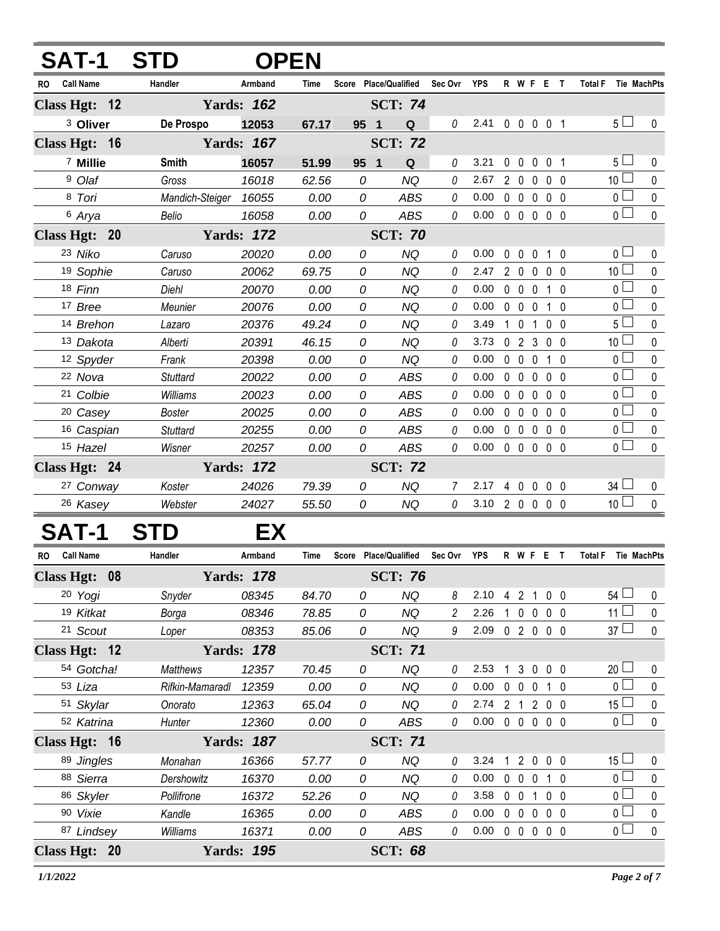| Т-1                     | <b>STD</b>            |                   | <b>OPEN</b> |                       |                |          |                            |             |                   |                                 |                |                                      |              |
|-------------------------|-----------------------|-------------------|-------------|-----------------------|----------------|----------|----------------------------|-------------|-------------------|---------------------------------|----------------|--------------------------------------|--------------|
| <b>Call Name</b><br>RO. | Handler               | Armband           | Time        | Score Place/Qualified |                | Sec Ovr  | YPS                        |             |                   | R W F E T                       |                | <b>Total F</b><br><b>Tie MachPts</b> |              |
| Class Hgt: 12           |                       | <b>Yards: 162</b> |             |                       | <b>SCT: 74</b> |          |                            |             |                   |                                 |                |                                      |              |
| <sup>3</sup> Oliver     | De Prospo             | 12053             | 67.17       | 95 1                  | Q              | 0        | 2.41                       |             |                   | 0 0 0 0 1                       |                | 5 <sub>1</sub>                       | $\mathbf{0}$ |
| Class Hgt: 16           |                       | <b>Yards: 167</b> |             |                       | <b>SCT: 72</b> |          |                            |             |                   |                                 |                |                                      |              |
| 7 Millie                | <b>Smith</b>          | 16057             | 51.99       | 95 <sub>1</sub>       | Q              | 0        | 3.21                       |             |                   | 0 0 0 0 1                       |                | 5 <sub>1</sub>                       | 0            |
| <sup>9</sup> Olaf       | Gross                 | 16018             | 62.56       | 0                     | <b>NQ</b>      | 0        | 2.67                       |             | 200               |                                 | $0\quad 0$     | 10 $\square$                         | 0            |
| 8 Tori                  | Mandich-Steiger 16055 |                   | 0.00        | 0                     | ABS            | 0        | 0.00                       |             | $0\quad 0$        | $\mathbf{0}$                    | 0 <sub>0</sub> | 0 <sub>0</sub>                       | 0            |
| 6 Arya                  | Belio                 | 16058             | 0.00        | 0                     | <b>ABS</b>     | $\theta$ | 0.00                       |             |                   | $0\quad 0\quad 0\quad 0\quad 0$ |                | 0 <sub>0</sub>                       | $\mathbf{0}$ |
| Class Hgt: 20           |                       | <b>Yards: 172</b> |             |                       | <b>SCT: 70</b> |          |                            |             |                   |                                 |                |                                      |              |
| 23 Niko                 | Caruso                | 20020             | 0.00        | 0                     | <b>NQ</b>      | 0        | 0.00                       | $\mathbf 0$ | $\overline{0}$    | $\mathbf 0$                     | 10             | 0 <sub>1</sub>                       | 0            |
| 19 Sophie               | Caruso                | 20062             | 69.75       | 0                     | <b>NQ</b>      | 0        | 2.47                       |             | 200               |                                 | 0 <sub>0</sub> | 10 <sup>1</sup>                      | 0            |
| 18 Finn                 | Diehl                 | 20070             | 0.00        | 0                     | NQ             | 0        | 0.00                       |             | $0\quad 0\quad 0$ |                                 | 10             | 0 <sup>1</sup>                       | 0            |
| 17 Bree                 | Meunier               | 20076             | 0.00        | 0                     | NQ             | 0        | 0.00                       |             | $0\quad 0\quad 0$ |                                 | 1 0            | $0-$                                 | 0            |
| 14 Brehon               | Lazaro                | 20376             | 49.24       | 0                     | NQ             | 0        | 3.49                       |             | $1\quad0$         | 1                               | 0 <sub>0</sub> | 5 L                                  | $\mathbf 0$  |
| 13 Dakota               | Alberti               | 20391             | 46.15       | 0                     | NQ             | 0        | 3.73                       |             | 023               |                                 | 0 <sub>0</sub> | 10 <sup>1</sup>                      | 0            |
| 12 Spyder               | Frank                 | 20398             | 0.00        | 0                     | NQ             | 0        | 0.00                       |             | 0 <sub>0</sub>    | $\mathbf{0}$                    | 1 0            | 0 <sup>1</sup>                       | $\mathbf 0$  |
| 22 Nova                 | <b>Stuttard</b>       | 20022             | 0.00        | 0                     | <b>ABS</b>     | 0        | 0.00                       | $\mathbf 0$ | $\mathbf 0$       | $\mathbf{0}$                    | 0 <sub>0</sub> | 0 <sub>0</sub>                       | 0            |
| 21 Colbie               | Williams              | 20023             | 0.00        | 0                     | <b>ABS</b>     | 0        | 0.00                       |             | $0\quad 0$        | $\mathbf{0}$                    | 0 <sub>0</sub> | 0 <sub>1</sub>                       | 0            |
| <sup>20</sup> Casey     | <b>Boster</b>         | 20025             | 0.00        | 0                     | <b>ABS</b>     | 0        | 0.00                       |             | $0\quad 0$        | $\mathbf{0}$                    | 0 <sub>0</sub> | $0-$                                 | 0            |
| 16 Caspian              | <b>Stuttard</b>       | 20255             | 0.00        | 0                     | ABS            | 0        | 0.00                       |             | $0\quad 0$        | 0                               | $0\quad 0$     | 0 <sup>1</sup>                       | 0            |
| 15 Hazel                | Wisner                | 20257             | 0.00        | 0                     | <b>ABS</b>     | 0        | 0.00                       |             | $0\quad 0\quad 0$ |                                 | 0 <sub>0</sub> | 0 <sub>1</sub>                       | 0            |
| Class Hgt: 24           |                       | <b>Yards: 172</b> |             |                       | <b>SCT: 72</b> |          |                            |             |                   |                                 |                |                                      |              |
| 27 Conway               | Koster                | 24026             | 79.39       | 0                     | NQ             |          | 2.17                       |             |                   | 40000                           |                | 34 L                                 | 0            |
| 26 Kasey                | Webster               | 24027             | 55.50       | 0                     | NQ.            | $\theta$ | 3.10 2 0 0 0 0             |             |                   |                                 |                | 10 <sup>L</sup>                      | $\mathbf 0$  |
|                         | S <sup>-</sup>        | EX                |             |                       |                |          |                            |             |                   |                                 |                |                                      |              |
| <b>Call Name</b><br>RO  | Handler               | Armband           | Time        | Score Place/Qualified |                | Sec Ovr  | <b>YPS</b>                 |             |                   | R W F E T                       |                | Total F Tie MachPts                  |              |
| Class Hgt: 08           |                       | <b>Yards: 178</b> |             |                       | <b>SCT: 76</b> |          |                            |             |                   |                                 |                |                                      |              |
| 20 Yogi                 | Snyder                | 08345             | 84.70       | 0                     | <b>NQ</b>      | 8        | 2.10 4 2 1 0 0             |             |                   |                                 |                | 54 $\Box$                            | 0            |
| 19 Kitkat               | Borga                 | 08346             | 78.85       | 0                     | <b>NQ</b>      | 2        | 2.26                       |             |                   | 1 0 0 0 0                       |                | 11 $\Box$                            | 0            |
| 21 Scout                | Loper                 | 08353             | 85.06       | 0                     | <b>NQ</b>      | 9        | 2.09 0 2 0 0 0             |             |                   |                                 |                | $37 \Box$                            | $\mathbf 0$  |
| Class Hgt: 12           |                       | <b>Yards: 178</b> |             |                       | <b>SCT: 71</b> |          |                            |             |                   |                                 |                |                                      |              |
| 54 Gotcha!              | <b>Matthews</b>       | 12357             | 70.45       | 0                     | <b>NQ</b>      | 0        | 2.53                       |             |                   | 1 3 0 0 0                       |                | 20 <sup>L</sup>                      | 0            |
| 53 Liza                 | Rifkin-Mamaradl       | 12359             | 0.00        | 0                     | <b>NQ</b>      | 0        | 0.00                       |             |                   | 0 0 0 1 0                       |                | 0 <sup>1</sup>                       | 0            |
| 51 Skylar               | Onorato               | 12363             | 65.04       | 0                     | <b>NQ</b>      | 0        | 2.74                       |             |                   | 2 1 2 0 0                       |                | $15$ $-$                             | 0            |
| 52 Katrina              | Hunter                | 12360             | 0.00        | 0                     | ABS            | 0        | $0.00 \t0 \t0 \t0 \t0 \t0$ |             |                   |                                 |                | 0 <sub>0</sub>                       | $\mathbf 0$  |
| Class Hgt: 16           |                       | <b>Yards: 187</b> |             |                       | <b>SCT: 71</b> |          |                            |             |                   |                                 |                |                                      |              |
| 89 Jingles              | Monahan               | 16366             | 57.77       | 0                     | <b>NQ</b>      | 0        | 3.24                       |             |                   | 12000                           |                | 15 $\Box$                            | 0            |
| 88 Sierra               | Dershowitz            | 16370             | 0.00        | 0                     | <b>NQ</b>      | 0        | 0.00                       |             | $0\quad 0\quad 0$ |                                 | 1 0            | 0 <sup>1</sup>                       | $\mathbf 0$  |
| 86 Skyler               | Pollifrone            | 16372             | 52.26       | 0                     | <b>NQ</b>      | 0        | 3.58                       |             | $0\quad 0$        | $\overline{1}$                  | $0\quad 0$     | 0 <sub>0</sub>                       | $\pmb{0}$    |
| 90 Vixie                | Kandle                | 16365             | 0.00        | 0                     | ABS            | 0        | 0.00                       |             | $0\quad 0\quad 0$ |                                 | 0 <sub>0</sub> | 0 <sup>1</sup>                       | $\pmb{0}$    |
| 87 Lindsey              | Williams              | 16371             | 0.00        | 0                     | ABS            | 0        | 0.00                       |             |                   | 00000                           |                | $\overline{0}$                       | $\pmb{0}$    |
| Class Hgt: 20           |                       | <b>Yards: 195</b> |             |                       | <b>SCT: 68</b> |          |                            |             |                   |                                 |                |                                      |              |

÷.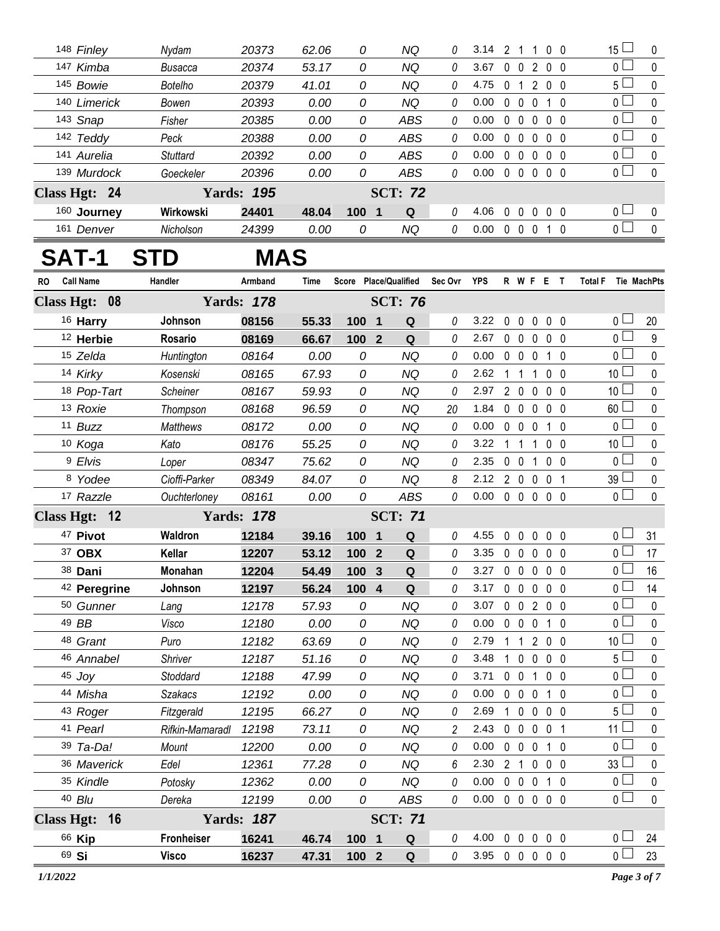| 148 Finley    | Nydam           | 20373             | 62.06 | 0        | ΝQ             | 0 | 3.14 | າ                    |              | 0 O            | 15 <sup>L</sup> | $\Omega$ |
|---------------|-----------------|-------------------|-------|----------|----------------|---|------|----------------------|--------------|----------------|-----------------|----------|
| 147 Kimba     | Busacca         | 20374             | 53.17 | 0        | NQ             | 0 | 3.67 | 0                    | 2            | $0\quad 0$     | $0 \sqcup$      | $\Omega$ |
| 145 Bowie     | <b>Botelho</b>  | 20379             | 41.01 | 0        | NQ             | 0 | 4.75 | 0                    | 2            | $0\quad 0$     | 5 <sub>1</sub>  | $\Omega$ |
| 140 Limerick  | Bowen           | 20393             | 0.00  | 0        | NQ             | 0 | 0.00 | 0                    |              | - 0            | $\Omega$ $\Box$ | $\Omega$ |
| 143 Snap      | Fisher          | 20385             | 0.00  | 0        | ABS            | 0 | 0.00 | $\bf{0}$             | $\Omega$     | $0\quad 0$     | 0 <sub>l</sub>  | $\Omega$ |
| 142 Teddy     | Peck            | 20388             | 0.00  | 0        | ABS            | 0 | 0.00 | 0<br>$\left($        | $\Omega$     | $0\quad 0$     | 0 <sub>l</sub>  | $\Omega$ |
| 141 Aurelia   | <b>Stuttard</b> | 20392             | 0.00  | 0        | <b>ABS</b>     | 0 | 0.00 | $\Omega$             | $\Omega$     | 00             | $\overline{0}$  | $\Omega$ |
| 139 Murdock   | Goeckeler       | 20396             | 0.00  | 0        | ABS            | 0 | 0.00 | $\Omega$<br>$\Omega$ | $\Omega$     | 0 <sub>0</sub> | $0 \cup$        | $\Omega$ |
| Class Hgt: 24 |                 | <b>Yards: 195</b> |       |          | <b>SCT: 72</b> |   |      |                      |              |                |                 |          |
| 160 Journey   | Wirkowski       | 24401             | 48.04 | 100<br>1 | Q              | 0 | 4.06 | <sup>0</sup>         | $\mathsf{O}$ | 0 0            | $\overline{0}$  | $\Omega$ |
| 161<br>Denver | Nicholson       | 24399             | 0.00  | 0        | NQ             | 0 | 0.00 | $\Omega$             | 0            | - 0            | $0 \square$     | $\Omega$ |

## **SAT-1 STD MAS**

| RO                | <b>Call Name</b>        | Handler           | Armband           | <b>Time</b> | Score Place/Qualified |                |                | Sec Ovr  | <b>YPS</b> |             |                   | R W F E T      |                   |           | <b>Total F</b>                | Tie MachPts      |
|-------------------|-------------------------|-------------------|-------------------|-------------|-----------------------|----------------|----------------|----------|------------|-------------|-------------------|----------------|-------------------|-----------|-------------------------------|------------------|
|                   | Class Hgt: 08           |                   | <b>Yards: 178</b> |             |                       |                | <b>SCT: 76</b> |          |            |             |                   |                |                   |           |                               |                  |
|                   | 16 Harry                | Johnson           | 08156             | 55.33       | 100 1                 |                | Q              | 0        | 3.22       |             | $0\quad 0$        | $\mathbf 0$    | $0\quad 0$        |           | 0 <sub>l</sub>                | 20               |
|                   | 12 Herbie               | Rosario           | 08169             | 66.67       | 100                   | $\overline{2}$ | Q              | 0        | 2.67       |             | $0\quad 0\quad 0$ |                | 0 <sub>0</sub>    |           | $\overline{0}$ $\Box$         | $\boldsymbol{9}$ |
|                   | 15 Zelda                | Huntington        | 08164             | 0.00        | 0                     |                | <b>NQ</b>      | 0        | 0.00       |             | $0\quad 0\quad 0$ |                | $\mathbf{1}$      | 0         | 0 <sup>L</sup>                | $\mathbf 0$      |
|                   | 14 Kirky                | Kosenski          | 08165             | 67.93       | 0                     |                | <b>NQ</b>      | 0        | 2.62       |             | $1\quad1$         | $\mathbf{1}$   | 0 <sub>0</sub>    |           | 10 <sup>1</sup>               | 0                |
|                   | 18 Pop-Tart             | Scheiner          | 08167             | 59.93       | 0                     |                | <b>NQ</b>      | 0        | 2.97       |             | $2\quad 0$        | $\overline{0}$ | 0 <sub>0</sub>    |           | 10 <sup>1</sup>               | $\pmb{0}$        |
|                   | 13 Roxie                | Thompson          | 08168             | 96.59       | 0                     |                | <b>NQ</b>      | 20       | 1.84       |             | $0\quad 0$        | $\mathbf{0}$   | 0 <sub>0</sub>    |           | 60 <sup>L</sup>               | 0                |
|                   | 11 Buzz                 | <b>Matthews</b>   | 08172             | 0.00        | 0                     |                | <b>NQ</b>      | 0        | 0.00       |             | $0\quad 0\quad 0$ |                | 10                |           | $\overline{0}$ $\Box$         | $\mathbf 0$      |
|                   | 10 Koga                 | Kato              | 08176             | 55.25       | 0                     |                | <b>NQ</b>      | 0        | 3.22       |             | $1\quad1$         | $\mathbf{1}$   | 0 <sub>0</sub>    |           | 10 <sup>2</sup>               | $\pmb{0}$        |
|                   | <sup>9</sup> Elvis      | Loper             | 08347             | 75.62       | 0                     |                | <b>NQ</b>      | 0        | 2.35       |             | $0\quad 0$        | $\mathbf{1}$   | 0 <sub>0</sub>    |           | 0 <sub>1</sub>                | 0                |
|                   | 8 Yodee                 | Cioffi-Parker     | 08349             | 84.07       | 0                     |                | <b>NQ</b>      | 8        | 2.12       |             | 200               |                | $\mathbf 0$       | - 1       | $39 \Box$                     | $\pmb{0}$        |
|                   | 17 Razzle               | Ouchterloney      | 08161             | 0.00        | 0                     |                | <b>ABS</b>     | $\theta$ | 0.00       |             | $0\quad 0\quad 0$ |                | $0\quad 0$        |           | $\overline{0}$                | $\mathbf{0}$     |
|                   | Class Hgt: 12           |                   | <b>Yards: 178</b> |             |                       |                | <b>SCT: 71</b> |          |            |             |                   |                |                   |           |                               |                  |
|                   | 47 Pivot                | Waldron           | 12184             | 39.16       | 100 1                 |                | Q              | 0        | 4.55       | $\pmb{0}$   | $\mathbf 0$       | $\pmb{0}$      | 0 <sub>0</sub>    |           | 0 <sub>0</sub>                | 31               |
|                   | 37 OBX                  | Kellar            | 12207             | 53.12       | 100                   | $\overline{2}$ | Q              | 0        | 3.35       |             | $0\quad 0$        | $\mathbf{0}$   | 0 <sub>0</sub>    |           | $\overline{0}$ $\Box$         | 17               |
|                   | 38 Dani                 | Monahan           | 12204             | 54.49       | 100                   | 3              | Q              | 0        | 3.27       |             | $0\quad 0$        | 0              | 0 <sub>0</sub>    |           | 0 ∟                           | 16               |
|                   | <sup>42</sup> Peregrine | Johnson           | 12197             | 56.24       | 100                   | $\overline{4}$ | Q              | 0        | 3.17       |             | $0\quad 0$        | $\overline{0}$ | 0 <sub>0</sub>    |           | 0 L                           | 14               |
|                   | <sup>50</sup> Gunner    | Lang              | 12178             | 57.93       | 0                     |                | <b>NQ</b>      | 0        | 3.07       |             |                   | 0 0 2 0 0      |                   |           | 0 <sub>l</sub>                | $\mathbf 0$      |
|                   | 49 BB                   | Visco             | 12180             | 0.00        | 0                     |                | <b>NQ</b>      | 0        | 0.00       |             | $0\quad 0$        | $\mathbf 0$    | $1\quad0$         |           | $\overline{0}$ $\Box$         | $\mathbf 0$      |
|                   | 48 Grant                | Puro              | 12182             | 63.69       | 0                     |                | <b>NQ</b>      | 0        | 2.79       |             |                   | 1 1 2 0 0      |                   |           | 10 <sup>L</sup>               | $\mathbf 0$      |
|                   | 46 Annabel              | <b>Shriver</b>    | 12187             | 51.16       | 0                     |                | <b>NQ</b>      | 0        | 3.48       |             | $1\quad 0$        | $\mathbf 0$    | 0 <sub>0</sub>    |           | 5 <sup>1</sup>                | $\mathbf 0$      |
|                   | 45 Joy                  | Stoddard          | 12188             | 47.99       | 0                     |                | <b>NQ</b>      | 0        | 3.71       |             | $0\quad 0$        | $\mathbf{1}$   | $\mathbf 0$       | - 0       | 0 L                           | $\pmb{0}$        |
|                   | 44 Misha                | <b>Szakacs</b>    | 12192             | 0.00        | 0                     |                | <b>NQ</b>      | 0        | 0.00       |             | $0\quad 0$        | $\overline{0}$ | $1\quad$ $\Omega$ |           | 0 <sub>l</sub>                | $\pmb{0}$        |
|                   | 43 Roger                | Fitzgerald        | 12195             | 66.27       | 0                     |                | <b>NQ</b>      | 0        | 2.69       |             | $1\quad 0$        | $\overline{0}$ | 0 <sub>0</sub>    |           | 5 <sub>1</sub>                | 0                |
|                   | 41 Pearl                | Rifkin-Mamaradl   | 12198             | 73.11       | 0                     |                | <b>NQ</b>      | 2        | 2.43       |             | $0\quad 0\quad 0$ |                | 0 <sub>1</sub>    |           | 11 <sup>L</sup>               | $\pmb{0}$        |
|                   | 39 Ta-Da!               | Mount             | 12200             | 0.00        | 0                     |                | <b>NQ</b>      | 0        | 0.00       | $\mathbf 0$ | $\mathbf 0$       | $\mathbf 0$    |                   | $1\quad0$ | $\overline{0}$ $\overline{1}$ | $\mathbf 0$      |
|                   | 36 Maverick             | Edel              | 12361             | 77.28       | 0                     |                | <b>NQ</b>      | 6        | 2.30       |             | 2 <sub>1</sub>    | $\mathbf 0$    | 0 <sub>0</sub>    |           | $33 -$                        | 0                |
|                   | 35 Kindle               | Potosky           | 12362             | 0.00        | 0                     |                | <b>NQ</b>      | 0        | 0.00       |             | $0\quad 0\quad 0$ |                | $1\quad0$         |           | $\overline{0}$ $\Box$         | $\pmb{0}$        |
|                   | 40 Blu                  | Dereka            | 12199             | 0.00        | 0                     |                | <b>ABS</b>     | 0        | 0.00       |             | 0 <sub>0</sub>    | $\Omega$       | 0 <sub>0</sub>    |           | 0 <sub>1</sub>                | $\mathbf{0}$     |
| <b>Class Hgt:</b> | 16                      |                   | <b>Yards: 187</b> |             |                       |                | <b>SCT: 71</b> |          |            |             |                   |                |                   |           |                               |                  |
|                   | 66 Kip                  | <b>Fronheiser</b> | 16241             | 46.74       | 100                   | $\blacksquare$ | Q              | 0        | 4.00       | 0           | $\mathbf 0$       | $\pmb{0}$      | 0 <sub>0</sub>    |           | 0 ∟                           | 24               |
|                   | 69 Si                   | <b>Visco</b>      | 16237             | 47.31       | 100 2                 |                | $\mathbf Q$    | 0        | 3.95       |             |                   | $00000$        |                   |           | $\overline{0}$                | 23               |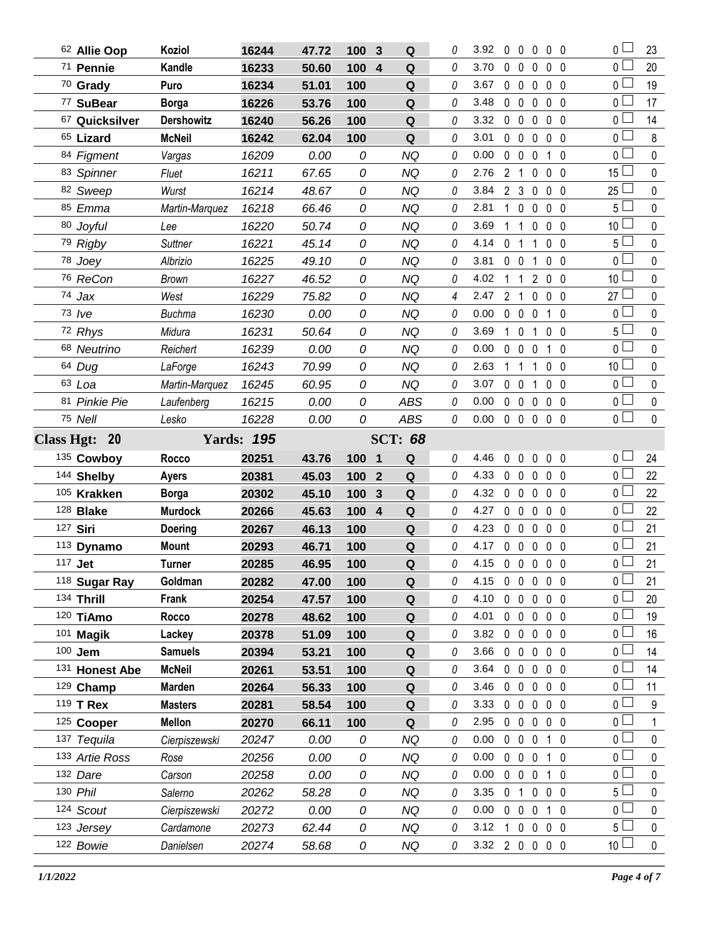| 62 Allie Oop            | Koziol                 | 16244             | 47.72          | 100<br>3              | Q                  | 0 | 3.92                   |                | $0\quad 0\quad 0$ |                   | $0\quad 0$     | $\overline{0}$         | 23               |
|-------------------------|------------------------|-------------------|----------------|-----------------------|--------------------|---|------------------------|----------------|-------------------|-------------------|----------------|------------------------|------------------|
| 71 Pennie               | Kandle                 | 16233             | 50.60          | 100<br>$\overline{4}$ | Q                  | 0 | 3.70                   | 0              | $\mathbf 0$       | $\mathbf 0$       | 0 <sub>0</sub> | 0 <sub>1</sub>         | 20               |
| 70 Grady                | Puro                   | 16234             | 51.01          | 100                   | ${\bf Q}$          | 0 | 3.67                   | $0\quad 0$     |                   | $\mathbf 0$       | $0\quad 0$     | 0 L                    | 19               |
| 77 SuBear               | <b>Borga</b>           | 16226             | 53.76          | 100                   | ${\bf Q}$          | 0 | 3.48                   | $0\quad 0$     |                   | $\mathbf 0$       | 0 <sub>0</sub> | 0 <sub>1</sub>         | 17               |
| 67 Quicksilver          | <b>Dershowitz</b>      | 16240             | 56.26          | 100                   | Q                  | 0 | 3.32                   | $0\quad 0$     |                   | $\mathbf 0$       | $0\quad 0$     | 0 L                    | 14               |
| 65 Lizard               | <b>McNeil</b>          | 16242             | 62.04          | 100                   | ${\bf Q}$          | 0 | 3.01                   |                | $0\quad 0\quad 0$ |                   | $0\quad 0$     | 0 <sub>l</sub>         | 8                |
| 84 Figment              | Vargas                 | 16209             | 0.00           | 0                     | <b>NQ</b>          | 0 | 0.00                   | $0\quad 0$     |                   | $\mathbf 0$       | 10             | 0 L                    | $\mathbf 0$      |
| 83 Spinner              | Fluet                  | 16211             | 67.65          | 0                     | <b>NQ</b>          | 0 | 2.76                   | 2 1            |                   | 0                 | 0 <sub>0</sub> | 15 <sup>1</sup>        | $\mathbf 0$      |
| 82 Sweep                | Wurst                  | 16214             | 48.67          | 0                     | ΝQ                 | 0 | 3.84                   | 2 3            |                   | 0                 | $0\quad 0$     | 25 <sup>1</sup>        | $\mathbf 0$      |
| 85 Emma                 | Martin-Marquez         | 16218             | 66.46          | 0                     | <b>NQ</b>          | 0 | 2.81                   | $\mathbf{1}$   | $0\quad 0$        |                   | 0 <sub>0</sub> | 5 <sub>1</sub>         | $\mathbf 0$      |
| 80 Joyful               | Lee                    | 16220             | 50.74          | 0                     | <b>NQ</b>          | 0 | 3.69                   | $1\quad1$      |                   | 0                 | $0\quad 0$     | 10 <sup>L</sup>        | $\mathbf 0$      |
| 79 Rigby                | Suttner                | 16221             | 45.14          | 0                     | <b>NQ</b>          | 0 | 4.14                   | 0 <sub>1</sub> |                   | 1                 | 0 <sub>0</sub> | $5\perp$               | $\mathbf 0$      |
| 78 Joey                 | Albrizio               | 16225             | 49.10          | 0                     | <b>NQ</b>          | 0 | 3.81                   | $0\quad 0$     |                   | 1                 | 0 <sub>0</sub> | 0 <sub>1</sub>         | $\mathbf 0$      |
| 76 ReCon                | <b>Brown</b>           | 16227             | 46.52          | 0                     | <b>NQ</b>          | 0 | 4.02                   | $\mathbf{1}$   | $\overline{1}$    | $\overline{2}$    | 0 <sub>0</sub> | 10 <sup>1</sup>        | $\pmb{0}$        |
| 74 Jax                  | West                   | 16229             | 75.82          | 0                     | NQ                 | 4 | 2.47                   | 2 <sub>1</sub> |                   | $\mathbf 0$       | $0\quad 0$     | $27 -$                 | $\pmb{0}$        |
| $73$ $Ive$              | <b>Buchma</b>          | 16230             | 0.00           | 0                     | <b>NQ</b>          | 0 | 0.00                   |                | $0\quad 0\quad 0$ |                   | 1 0            | 0 <sub>1</sub>         | $\pmb{0}$        |
| 72 Rhys                 | Midura                 | 16231             | 50.64          | 0                     | NQ                 | 0 | 3.69                   | $1\quad0$      |                   | 1                 | $0\quad 0$     | 5 L                    | $\mathbf 0$      |
| 68 Neutrino             | Reichert               | 16239             | 0.00           | 0                     | <b>NQ</b>          | 0 | 0.00                   |                | $0\quad 0\quad 0$ |                   | $1\quad0$      | 0 <sup>1</sup>         | $\mathbf 0$      |
| 64 Dug                  | LaForge                | 16243             | 70.99          | 0                     | <b>NQ</b>          | 0 | 2.63                   | $1\quad1$      |                   | 1                 | $0\quad 0$     | 10 $\lfloor$           | $\mathbf 0$      |
| 63 Loa                  | Martin-Marquez         | 16245             | 60.95          | 0                     | <b>NQ</b>          | 0 | 3.07                   | $0\quad 0$     |                   | $\mathbf{1}$      | 0 <sub>0</sub> | 0 <sub>l</sub>         | $\mathbf 0$      |
| 81 Pinkie Pie           | Laufenberg             | 16215             | 0.00           | 0                     | <b>ABS</b>         | 0 | 0.00                   | $0\quad 0$     |                   | $\mathbf 0$       | $0\quad 0$     | 0 L                    | $\mathbf 0$      |
| 75 Nell                 | Lesko                  | 16228             | 0.00           | 0                     | <b>ABS</b>         | 0 | 0.00                   |                | $0\quad 0\quad 0$ |                   | $0\quad 0$     | $\overline{0}$         | $\mathbf 0$      |
| Class Hgt: 20           |                        | <b>Yards: 195</b> |                |                       | <b>SCT: 68</b>     |   |                        |                |                   |                   |                |                        |                  |
|                         |                        |                   |                |                       |                    |   |                        |                |                   |                   |                |                        |                  |
| 135 Cowboy              | <b>Rocco</b>           | 20251             | 43.76          | 100 1                 | Q                  | 0 | 4.46                   | $0\quad 0$     |                   | $0\quad 0\quad 0$ |                | 0 L                    | 24               |
| 144 Shelby              | <b>Ayers</b>           | 20381             | 45.03          | 100<br>$\overline{2}$ | Q                  | 0 | 4.33                   | $0\quad 0$     |                   | $\overline{0}$    | $0\quad 0$     | 0 <sub>0</sub>         | 22               |
| 105 Krakken             | <b>Borga</b>           | 20302             | 45.10          | 100<br>3              | Q                  | 0 | 4.32                   | $0\quad 0$     |                   | 0                 | $0\quad 0$     | 0 l                    | 22               |
| 128 <b>Blake</b>        | <b>Murdock</b>         | 20266             | 45.63          | 100 4                 | Q                  | 0 | 4.27                   | $0\quad 0$     |                   | $\mathbf 0$       | $0\quad 0$     | 0 L                    | 22               |
| 127 Siri                | <b>Doering</b>         | 20267             | 46.13          | 100                   | Q                  | 0 | 4.23                   | $0\quad 0$     |                   | 0                 | $0\quad 0$     | 0 L                    | 21               |
| 113 Dynamo              | <b>Mount</b>           | 20293             | 46.71          | 100                   | $\pmb{\mathsf{Q}}$ | 0 | 4.17                   | $0\quad 0$     |                   | $\mathbf 0$       | 0 <sub>0</sub> | 0 L                    | 21               |
| 117 <b>Jet</b>          | Turner                 | 20285             | 46.95          | 100                   | Q                  | 0 | 4.15 0 0 0 0 0         |                |                   |                   |                | 0 l                    | 21               |
| 118 Sugar Ray           | Goldman                | 20282             | 47.00          | 100                   | Q                  | 0 | 4.15                   |                |                   | 00000             |                | 0 <sub>0</sub>         | 21               |
| 134 Thrill              | Frank                  | 20254             | 47.57          | 100                   | Q                  | 0 | 4.10                   | $0\quad 0$     |                   | $\mathbf 0$       | $0\quad 0$     | 0 l                    | 20               |
| 120 TiAmo               | Rocco                  | 20278             | 48.62          | 100                   | Q                  | 0 | 4.01                   |                | $0\quad 0\quad 0$ |                   | $0\quad 0$     | 0 <sub>0</sub>         | 19               |
| 101 Magik               | Lackey                 | 20378             | 51.09          | 100                   | Q                  | 0 | 3.82                   | $0\quad 0$     |                   | 0                 | $0\quad 0$     | 0 <sub>0</sub>         | 16               |
| 100 Jem                 | <b>Samuels</b>         | 20394             | 53.21          | 100                   | Q                  | 0 | 3.66                   |                | $0\quad 0\quad 0$ |                   | $0\quad 0$     | 0 L                    | 14               |
| 131 Honest Abe          | <b>McNeil</b>          | 20261             | 53.51          | 100                   | Q                  | 0 | 3.64                   | $0\quad 0$     |                   | $\mathbf 0$       | $0\quad 0$     | 0 l                    | 14               |
| 129 Champ               | <b>Marden</b>          | 20264             | 56.33          | 100                   | Q                  | 0 | 3.46                   |                | $0\quad 0\quad 0$ |                   | $0\quad 0$     | 0 l                    | 11               |
| 119 T Rex               | <b>Masters</b>         | 20281             | 58.54          | 100                   | Q                  | 0 | 3.33                   | $0\quad 0$     |                   | $\mathbf 0$       | $0\quad 0$     | 0 L                    | 9                |
| 125 Cooper              | <b>Mellon</b>          | 20270             | 66.11          | 100                   | Q                  | 0 | 2.95                   |                | $0\quad 0\quad 0$ |                   | 0 <sub>0</sub> | $0 -$                  | 1                |
| 137 Tequila             | Cierpiszewski          | 20247             | 0.00           | 0                     | ΝQ                 | 0 | 0.00                   |                | $0\quad 0\quad 0$ |                   | 1 0            | 0 L                    | 0                |
| 133 Artie Ross          | Rose                   | 20256             | 0.00           | 0                     | ΝQ                 | 0 | 0.00                   |                | $0\quad 0\quad 0$ |                   | 10             | 0 <sub>0</sub>         | 0                |
| 132 Dare                | Carson                 | 20258             | 0.00           | 0                     | NQ                 | 0 | 0.00                   |                | $0\quad 0\quad 0$ |                   | 10             | 0 <sub>1</sub>         | 0                |
| 130 Phil                | Salerno                | 20262             | 58.28          | 0                     | <b>NQ</b>          | 0 | 3.35                   | 0 <sub>1</sub> |                   | $\mathbf 0$       | 0 <sub>0</sub> | 5 <sub>1</sub>         | 0                |
| 124 Scout               | Cierpiszewski          | 20272             | 0.00           | 0                     | NQ                 | 0 | 0.00                   | $0\quad 0$     |                   | $\mathbf 0$       | $1\quad0$      | 0 <sub>0</sub>         | 0                |
| 123 Jersey<br>122 Bowie | Cardamone<br>Danielsen | 20273<br>20274    | 62.44<br>58.68 | 0                     | <b>NQ</b><br>NQ    | 0 | 3.12<br>3.32 2 0 0 0 0 |                | 1 0 0             |                   | $0\quad 0$     | 5 l<br>10 <sup>1</sup> | 0<br>$\mathbf 0$ |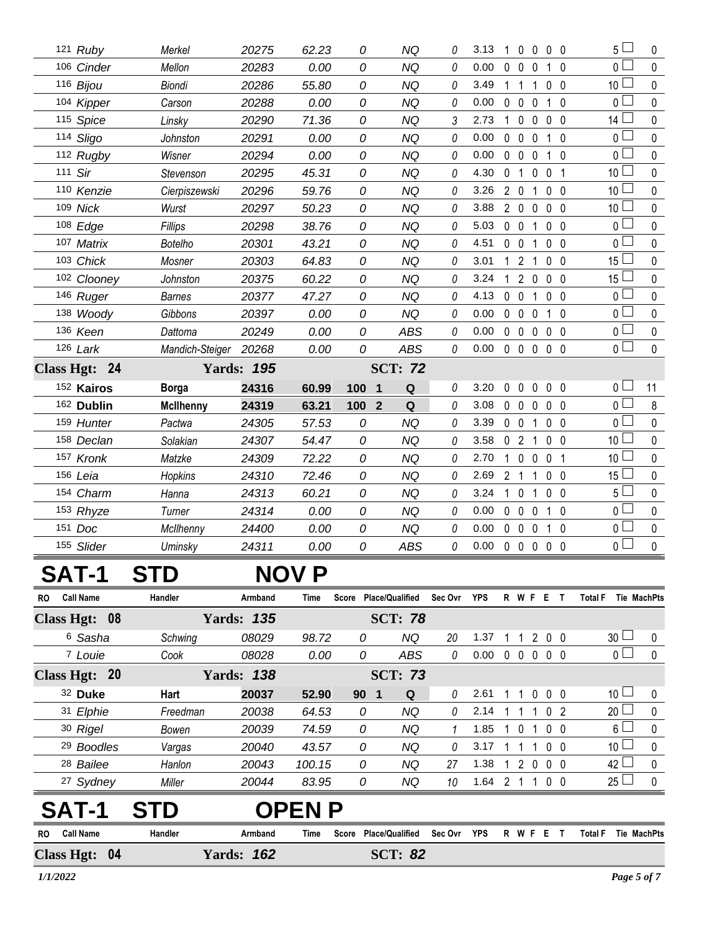| 121 Ruby      |             | Merkel           | 20275             | 62.23 | 0                     | <b>NQ</b>      | 0        | 3.13 | $\Omega$<br>1                 | $\Omega$          | 0 0            |                | 5 l             | 0           |
|---------------|-------------|------------------|-------------------|-------|-----------------------|----------------|----------|------|-------------------------------|-------------------|----------------|----------------|-----------------|-------------|
| 106 Cinder    |             | Mellon           | 20283             | 0.00  | 0                     | <b>NQ</b>      | 0        | 0.00 | $\mathbf{0}$<br>$\mathbf 0$   | $\mathbf{0}$      | $\mathbf{1}$   | - 0            | 0               | $\mathbf 0$ |
| 116 Bijou     |             | <b>Biondi</b>    | 20286             | 55.80 | $\Omega$              | <b>NQ</b>      | 0        | 3.49 | $\mathbf 1$<br>$\overline{1}$ | 1                 | $\mathbf{0}$   | $\Omega$       | 10              | 0           |
| 104 Kipper    |             | Carson           | 20288             | 0.00  | 0                     | <b>NQ</b>      | 0        | 0.00 | $\mathbf 0$<br>$\mathbf 0$    | 0                 | $1\quad0$      |                | 0 <sub>1</sub>  | $\mathbf 0$ |
| 115 Spice     |             | Linsky           | 20290             | 71.36 | 0                     | <b>NQ</b>      | 3        | 2.73 | $\mathbf{1}$<br>$\mathbf 0$   | 0                 | 0 <sub>0</sub> |                | 14 <sup>1</sup> | 0           |
| 114 Sligo     |             | Johnston         | 20291             | 0.00  | 0                     | <b>NQ</b>      | 0        | 0.00 | $\mathbf 0$<br>0              | $\mathbf 0$       | 1              | 0              | $\Omega$        | 0           |
| 112 Rugby     |             | Wisner           | 20294             | 0.00  | 0                     | <b>NQ</b>      | 0        | 0.00 | $\mathbf 0$<br>$\mathbf 0$    | $\mathbf 0$       | $\mathbf{1}$   | 0              | 0               | 0           |
| 111 Sir       |             | Stevenson        | 20295             | 45.31 | 0                     | <b>NQ</b>      | 0        | 4.30 | $\mathbf{1}$<br>0             | $\mathbf 0$       | $\mathbf 0$    | - 1            | 10              | 0           |
| 110 Kenzie    |             | Cierpiszewski    | 20296             | 59.76 | 0                     | <b>NQ</b>      | 0        | 3.26 | $2^{\circ}$<br>$\mathbf 0$    | 1                 | 0 <sub>0</sub> |                | 10 <sup>1</sup> | $\mathbf 0$ |
| 109 Nick      |             | Wurst            | 20297             | 50.23 | 0                     | <b>NQ</b>      | 0        | 3.88 | $2\quad0$                     | $\mathbf 0$       | 0 <sub>0</sub> |                | 10 <sup>1</sup> | 0           |
| 108 Edge      |             | Fillips          | 20298             | 38.76 | 0                     | <b>NQ</b>      | 0        | 5.03 | 0 <sub>0</sub>                | $\mathbf{1}$      | 0 <sub>0</sub> |                | 0 l             | 0           |
| 107 Matrix    |             | <b>Botelho</b>   | 20301             | 43.21 | 0                     | NQ             | 0        | 4.51 | 0 <sub>0</sub>                | 1                 | 0 <sub>0</sub> |                | 0               | 0           |
| 103 Chick     |             | Mosner           | 20303             | 64.83 | 0                     | <b>NQ</b>      | 0        | 3.01 | $\overline{2}$<br>$\mathbf 1$ | 1                 | 0 <sub>0</sub> |                | 15 <sup>1</sup> | 0           |
|               | 102 Clooney | Johnston         | 20375             | 60.22 | 0                     | ΝQ             | 0        | 3.24 | 1                             | 2 <sub>0</sub>    | $\mathbf{0}$   | - 0            | ا 15            | 0           |
| 146 Ruger     |             | <b>Barnes</b>    | 20377             | 47.27 | 0                     | <b>NQ</b>      | 0        | 4.13 | $\mathbf 0$<br>$\mathbf{0}$   | 1                 | 0 <sub>0</sub> |                | 0 l             | $\mathbf 0$ |
| 138 Woody     |             | Gibbons          | 20397             | 0.00  | 0                     | <b>NQ</b>      | 0        | 0.00 | $0\quad 0$                    | 0                 | $1\quad0$      |                | 0 <sup>1</sup>  | 0           |
| 136 Keen      |             | Dattoma          | 20249             | 0.00  | 0                     | <b>ABS</b>     | 0        | 0.00 | $0\quad 0$                    | $\mathbf 0$       | 0 <sub>0</sub> |                | $0-$            | $\mathbf 0$ |
| $126$ Lark    |             | Mandich-Steiger  | 20268             | 0.00  | 0                     | <b>ABS</b>     | 0        | 0.00 |                               | $0\quad 0\quad 0$ | $0\quad 0$     |                | 0 l             | 0           |
| Class Hgt: 24 |             |                  | <b>Yards: 195</b> |       |                       | <b>SCT: 72</b> |          |      |                               |                   |                |                |                 |             |
| 152 Kairos    |             | <b>Borga</b>     | 24316             | 60.99 | 100<br>$\mathbf 1$    | Q              | 0        | 3.20 | $\mathbf 0$<br>$\mathbf 0$    | $\mathbf 0$       | 0 <sub>0</sub> |                | 0 <sub>0</sub>  | 11          |
| 162 Dublin    |             | <b>McIlhenny</b> | 24319             | 63.21 | 100<br>$\overline{2}$ | Q              | 0        | 3.08 | $0\quad 0$                    | 0                 | 0 <sub>0</sub> |                | 0 l             | $\bf 8$     |
| 159 Hunter    |             | Pactwa           | 24305             | 57.53 | 0                     | <b>NQ</b>      | 0        | 3.39 | 0 <sub>0</sub>                | $\mathbf 1$       | 0 <sub>0</sub> |                | $\cap$ $\Box$   | $\mathbf 0$ |
| 158 Declan    |             | Solakian         | 24307             | 54.47 | 0                     | <b>NQ</b>      | 0        | 3.58 | $\overline{2}$<br>$\mathbf 0$ | 1                 | 0 <sub>0</sub> |                | 10              | $\mathbf 0$ |
| 157 Kronk     |             | Matzke           | 24309             | 72.22 | 0                     | <b>NQ</b>      | 0        | 2.70 | $\mathbf{1}$<br>$\mathbf 0$   | 0                 | $\mathbf 0$    | - 1            | 10              | $\pmb{0}$   |
| 156 Leia      |             | Hopkins          | 24310             | 72.46 | 0                     | <b>NQ</b>      | $\theta$ | 2.69 | 2<br>$\overline{1}$           | 1                 | $\mathbf 0$    | 0              | 15              | 0           |
| 154 Charm     |             | Hanna            | 24313             | 60.21 | 0                     | <b>NQ</b>      | 0        | 3.24 | $\mathbf 0$<br>1              | 1                 | 0 <sub>0</sub> |                | $5\perp$        | $\pmb{0}$   |
| 153 Rhyze     |             | Turner           | 24314             | 0.00  | 0                     | <b>NQ</b>      | 0        | 0.00 | $\Omega$<br>$\mathbf 0$       | $\mathbf{0}$      | $1\quad0$      |                | 0 <sup>1</sup>  | 0           |
| 151 Doc       |             | McIlhenny        | 24400             | 0.00  | 0                     | <b>NQ</b>      | 0        | 0.00 | 0<br>$\mathbf 0$              | $\mathbf{0}$      | 1.             | $\overline{0}$ | 0 <sub>0</sub>  | $\pmb{0}$   |
| 155 Slider    |             | Uminsky          | 24311             | 0.00  | 0                     | ABS            | 0        | 0.00 | $\mathbf 0$<br>$\mathbf 0$    | $\mathbf 0$       | 0 <sub>0</sub> |                | 0 l             | $\mathbf 0$ |
|               |             |                  |                   |       |                       |                |          |      |                               |                   |                |                |                 |             |

## **SAT-1 STD NOV P**

| <b>RO</b> | <b>Call Name</b>        | Handler    | Armband           | Time          | Score        | <b>Place/Qualified</b> | Sec Ovr | <b>YPS</b> |              | R W F    |                | E |                | Total F<br>Tie MachPts               |              |
|-----------|-------------------------|------------|-------------------|---------------|--------------|------------------------|---------|------------|--------------|----------|----------------|---|----------------|--------------------------------------|--------------|
|           | Class Hgt: 08           |            | <b>Yards: 135</b> |               |              | <b>SCT: 78</b>         |         |            |              |          |                |   |                |                                      |              |
|           | <sup>6</sup> Sasha      | Schwing    | 08029             | 98.72         | 0            | NQ.                    | 20      | 1.37       |              |          | 2              |   | $0\quad 0$     | 30 <sup>1</sup>                      | $\Omega$     |
|           | <sup>7</sup> Louie      | Cook       | 08028             | 0.00          | 0            | ABS                    | 0       | 0.00       | $\mathbf{0}$ | 0        | $\overline{0}$ |   | $0\quad 0$     | 0 <sub>1</sub>                       | $\mathbf{0}$ |
|           | Class Hgt: 20           |            | <b>Yards: 138</b> |               |              | <b>SCT: 73</b>         |         |            |              |          |                |   |                |                                      |              |
|           | 32 Duke                 | Hart       | 20037             | 52.90         | 90           | Q<br>- 1               | 0       | 2.61       |              |          | $\Omega$       |   | 0 <sub>0</sub> | 10 <sup>1</sup>                      | $\Omega$     |
|           | 31 Elphie               | Freedman   | 20038             | 64.53         | 0            | ΝQ                     | 0       | 2.14       |              |          |                |   | 0 <sub>2</sub> | $20$ $\Box$                          | $\mathbf{0}$ |
|           | 30 Rigel                | Bowen      | 20039             | 74.59         | 0            | NQ                     |         | 1.85       |              | $\Omega$ |                |   | 0 <sub>0</sub> | $6\Box$                              | $\Omega$     |
|           | <sup>29</sup> Boodles   | Vargas     | 20040             | 43.57         | 0            | NQ                     | 0       | 3.17       |              |          |                |   | 0 <sub>0</sub> | 10 <sup>1</sup>                      | $\Omega$     |
|           | <sup>28</sup> Bailee    | Hanlon     | 20043             | 100.15        | 0            | NQ.                    | 27      | 1.38       |              |          | 2 0            |   | $0\quad 0$     | 42                                   | $\Omega$     |
|           | <sup>27</sup> Sydney    | Miller     | 20044             | 83.95         | 0            | NQ                     | 10      | 1.64       | 2            |          |                |   | $0\quad 0$     | 25 <sup>1</sup>                      | <sup>n</sup> |
|           | SAT-1                   | <b>STD</b> |                   | <b>OPEN P</b> |              |                        |         |            |              |          |                |   |                |                                      |              |
| <b>RO</b> | <b>Call Name</b>        | Handler    | Armband           | <b>Time</b>   | <b>Score</b> | <b>Place/Qualified</b> | Sec Ovr | <b>YPS</b> |              | R W F    |                | Е |                | <b>Total F</b><br><b>Tie MachPts</b> |              |
|           | 04<br><b>Class Hgt:</b> |            | 162<br>Yards:     |               |              | <b>SCT: 82</b>         |         |            |              |          |                |   |                |                                      |              |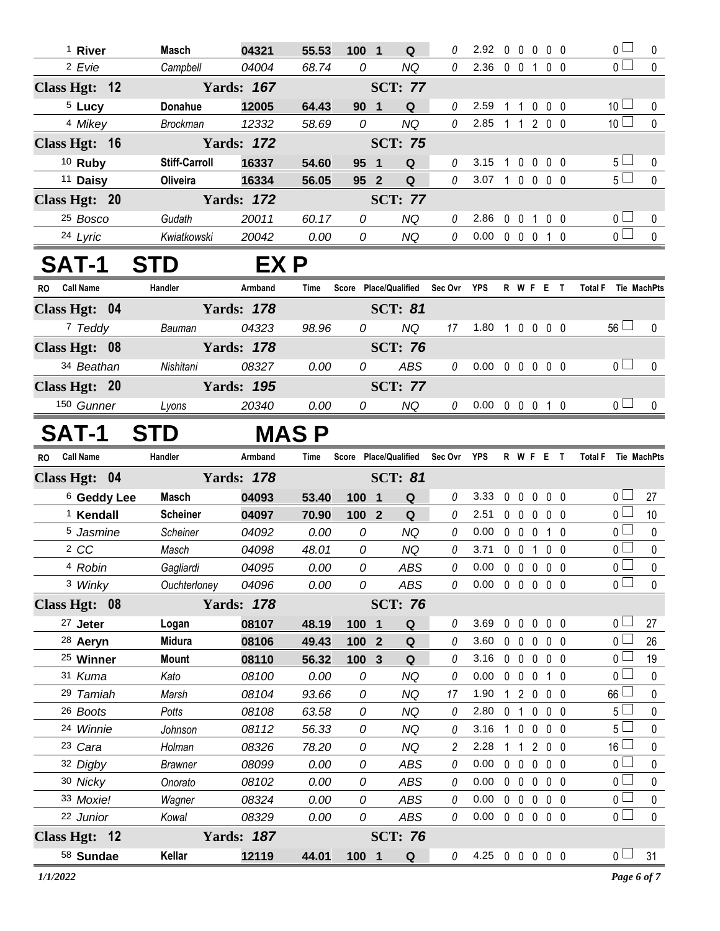| <sup>1</sup> River     | Masch                | 04321             | 55.53         | 100 1               | Q                                 | 0              | 2.92                       |             | $0\quad 0\quad 0\quad 0\quad 0$ |                   |                | $\overline{0}$                   | 0                           |
|------------------------|----------------------|-------------------|---------------|---------------------|-----------------------------------|----------------|----------------------------|-------------|---------------------------------|-------------------|----------------|----------------------------------|-----------------------------|
| <sup>2</sup> Evie      | Campbell             | 04004             | 68.74         | 0                   | <b>NQ</b>                         | $\theta$       | 2.36 0 0 1 0 0             |             |                                 |                   |                | $\overline{0}$                   | $\mathbf{0}$                |
| Class Hgt: 12          |                      | <b>Yards: 167</b> |               |                     | <b>SCT: 77</b>                    |                |                            |             |                                 |                   |                |                                  |                             |
| <sup>5</sup> Lucy      | Donahue              | 12005             | 64.43         | 90 1                | Q                                 | 0              | 2.59                       |             | 1 1 0 0 0                       |                   |                | 10 <sup>1</sup>                  | 0                           |
| <sup>4</sup> Mikey     | <b>Brockman</b>      | 12332             | 58.69         | 0                   | <b>NQ</b>                         | $\theta$       | 2.85 1 1 2 0 0             |             |                                 |                   |                | 10 <sup>1</sup>                  | $\mathbf{0}$                |
| Class Hgt: 16          |                      | <b>Yards: 172</b> |               |                     | <b>SCT: 75</b>                    |                |                            |             |                                 |                   |                |                                  |                             |
| $10$ Ruby              | <b>Stiff-Carroll</b> | 16337             | 54.60         | 95 1                | Q                                 | 0              | 3.15                       |             | 1 0 0 0 0                       |                   |                | $5\Box$                          | 0                           |
| <sup>11</sup> Daisy    | Oliveira             | 16334             | 56.05         | 95 2                | Q                                 | 0              | 3.07 1 0 0 0 0             |             |                                 |                   |                | $5\Box$                          | $\mathbf{0}$                |
| Class Hgt: 20          |                      | <b>Yards: 172</b> |               |                     | <b>SCT: 77</b>                    |                |                            |             |                                 |                   |                |                                  |                             |
| <sup>25</sup> Bosco    | Gudath               | 20011             | 60.17         | 0                   | <b>NQ</b>                         | 0              | 2.86                       |             | 0 0 1 0 0                       |                   |                | 0 <sub>0</sub>                   | 0                           |
| 24 Lyric               | Kwiatkowski          | 20042             | 0.00          | 0                   | NQ                                | $\mathcal O$   | $0.00 \t0 \t0 \t0 \t1 \t0$ |             |                                 |                   |                | $\overline{0}$                   | $\pmb{0}$                   |
| <b>SAT-1</b>           | <b>STD</b>           | EX P              |               |                     |                                   |                |                            |             |                                 |                   |                |                                  |                             |
| RO Call Name           | Handler              | Armband           | <b>Time</b>   |                     | Score Place/Qualified Sec Ovr YPS |                |                            |             | R W F E T                       |                   |                | Total F Tie MachPts              |                             |
| Class Hgt: 04          |                      | <b>Yards: 178</b> |               |                     | <b>SCT: 81</b>                    |                |                            |             |                                 |                   |                |                                  |                             |
| <sup>7</sup> Teddy     | Bauman               | 04323             | 98.96         | 0                   | NQ                                | 17             | 1.80 1 0 0 0 0             |             |                                 |                   |                | $56\Box$                         | $\Omega$                    |
| Class Hgt: 08          |                      | <b>Yards: 178</b> |               |                     | <b>SCT: 76</b>                    |                |                            |             |                                 |                   |                |                                  |                             |
| 34 Beathan             | Nishitani            | 08327             | 0.00          | 0                   | <b>ABS</b>                        | 0              | 0.00                       |             | 00000                           |                   |                | 0 <sub>0</sub>                   | $\mathbf 0$                 |
| Class Hgt: 20          |                      | <b>Yards: 195</b> |               |                     | <b>SCT: 77</b>                    |                |                            |             |                                 |                   |                |                                  |                             |
| 150 Gunner             | Lyons                | 20340             | 0.00          | 0                   | <b>NQ</b>                         | $\overline{0}$ | 0.00 0 0 0 1 0             |             |                                 |                   |                | 0 <sub>l</sub>                   | $\mathbf 0$                 |
|                        |                      |                   |               |                     |                                   |                |                            |             |                                 |                   |                |                                  |                             |
| <b>SAT-1</b>           | <b>STD</b>           |                   | <b>MASP</b>   |                     |                                   |                |                            |             |                                 |                   |                |                                  |                             |
| RO Call Name           | Handler              | Armband           | Time          |                     | Score Place/Qualified Sec Ovr YPS |                |                            |             | <b>R W F E T</b>                |                   |                | Total F Tie MachPts              |                             |
| Class Hgt: 04          |                      | <b>Yards: 178</b> |               |                     | <b>SCT: 81</b>                    |                |                            |             |                                 |                   |                |                                  |                             |
| <sup>6</sup> Geddy Lee | Masch                | 04093             | 53.40         | 100 1               | $\mathbf Q$                       | 0              | 3.33                       |             | $0\quad 0$                      | $\mathbf 0$       | 0 <sub>0</sub> | 0 <sub>0</sub><br>$\overline{0}$ | 27                          |
| <sup>1</sup> Kendall   | <b>Scheiner</b>      | 04097             | 70.90         | 100 2               | Q                                 | 0              | 2.51                       |             | 00000<br>0 0 0 1 0              |                   |                | $\overline{0}$                   | 10                          |
| 5 Jasmine<br>2 CC      | Scheiner             | 04092<br>04098    | 0.00<br>48.01 | 0<br>${\cal O}$     | <b>NQ</b><br><b>NQ</b>            | $\theta$<br>0  | 0.00<br>3.71               |             | 0 0 1 0 0                       |                   |                | $\overline{0}$                   | $\overline{0}$<br>$\pmb{0}$ |
| 4 Robin                | Masch<br>Gagliardi   | 04095             | 0.00          | 0                   | ABS                               | 0              | 0.00 0 0 0 0 0             |             |                                 |                   |                | $\overline{0}$                   | $\overline{0}$              |
| 3 Winky                | Ouchterloney         | 04096             | 0.00          | 0                   | ABS                               | 0              | $0.00 \t0 \t0 \t0 \t0 \t0$ |             |                                 |                   |                | $_0$ $\Box$                      | $\pmb{0}$                   |
| Class Hgt: 08          |                      | <b>Yards: 178</b> |               |                     | <b>SCT: 76</b>                    |                |                            |             |                                 |                   |                |                                  |                             |
| <sup>27</sup> Jeter    | Logan                | 08107             | 48.19         | 100 1               | Q                                 | 0              | 3.69                       | $0\quad 0$  |                                 | $0\quad 0\quad 0$ |                | 0 <sub>1</sub>                   | 27                          |
| <sup>28</sup> Aeryn    | <b>Midura</b>        | 08106             | 49.43         | 100 2               | Q                                 | 0              | 3.60                       |             | $0\quad 0$                      | $\mathbf 0$       | $0\quad 0$     | $0-$                             | 26                          |
| <sup>25</sup> Winner   | <b>Mount</b>         | 08110             | 56.32         | $\mathbf{3}$<br>100 | Q                                 | 0              | 3.16                       |             | $0\quad 0\quad 0$               |                   | $0\quad 0$     | 0 <sub>0</sub>                   | 19                          |
| 31 Kuma                | Kato                 | 08100             | 0.00          | 0                   | <b>NQ</b>                         | 0              | 0.00                       |             | $0\quad 0\quad 0$               |                   | $1\quad0$      | 0 <sub>0</sub>                   | 0                           |
| 29 Tamiah              | Marsh                | 08104             | 93.66         | 0                   | <b>NQ</b>                         | 17             | 1.90                       |             | $1 2 0$                         |                   | $0\quad 0$     | $66 -$                           | 0                           |
| 26 Boots               | Potts                | 08108             | 63.58         | 0                   | <b>NQ</b>                         | 0              | 2.80                       |             | 0 1 0 0 0                       |                   |                | 5 <sub>1</sub>                   | $\pmb{0}$                   |
| 24 Winnie              | Johnson              | 08112             | 56.33         | 0                   | <b>NQ</b>                         | 0              | 3.16                       | $1\quad 0$  |                                 | $\mathbf 0$       | $0\quad 0$     | 5 <sup>L</sup>                   | 0                           |
| 23 Cara                | Holman               | 08326             | 78.20         | 0                   | <b>NQ</b>                         | $\overline{c}$ | 2.28                       | $\mathbf 1$ | $\mathbf{1}$                    | 200               |                | $16$ $\Box$                      | 0                           |
| 32 Digby               | <b>Brawner</b>       | 08099             | 0.00          | 0                   | ABS                               | 0              | 0.00                       | $0\quad 0$  |                                 | $\mathbf 0$       | $0\quad 0$     | $\overline{0}$                   | 0                           |
| 30 Nicky               |                      |                   |               | 0                   |                                   | 0              | 0.00                       |             | $0\quad 0$                      | $0\quad 0\quad 0$ |                | $\overline{0}$                   | $\pmb{0}$                   |
|                        | Onorato              | 08102             | 0.00          |                     | ABS                               |                |                            |             |                                 |                   |                |                                  |                             |
| 33 Moxie!              | Wagner               | 08324             | 0.00          | 0                   | <b>ABS</b>                        | 0              | 0.00                       |             | $0\quad 0\quad 0$               |                   | $0\quad 0$     | 0 <sub>0</sub>                   | 0                           |
| 22 Junior              | Kowal                | 08329             | 0.00          | 0                   | ABS                               | 0              | $0.00 \t0 \t0 \t0 \t0 \t0$ |             |                                 |                   |                | $\overline{0}$                   | $\mathbf 0$                 |
| Class Hgt: 12          |                      | <b>Yards: 187</b> |               |                     | <b>SCT: 76</b>                    |                |                            |             |                                 |                   |                | 0 <sub>1</sub>                   | 31                          |